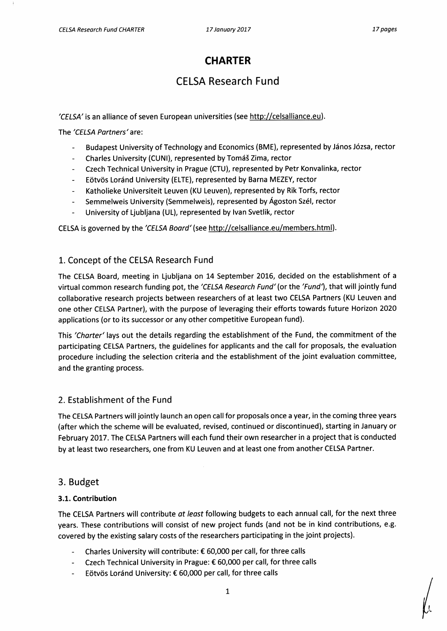# **CHARTER**

# **CELSA Research Fund**

**'CELSA' is an alliance of seven European universities (see http://celsalliance.eu ).** 

**The 'CELSA Partners' are:** 

- **- Budapest University of Technology and Economics (BME), represented by János Józsa, rector**
- **Charles University (CUNI), represented by Tomás Zima, rector**   $\overline{a}$
- **- Czech Technical University in Prague (CTU), represented by Petr Konvalinka, rector**
- **- Eötvös Loránd University (ELTE), represented by Barna MEZEY, rector**
- **- Katholieke Universiteit Leuven (KU Leuven), represented by Rik Torfs, rector**
- **Semmelweis University (Semmelweis), represented by Ágoston Szél, rector**
- **- University of Ljubljana (UL), represented by Ivan Svetlik, rector**

**CELSA is governed by the 'CELSA Board' (see http://celsalliance.eu/members.html).** 

### **1. Concept of the CELSA Research Fund**

**The CELSA Board, meeting in Ljubljana on 14 September 2016, decided on the establishment of a virtual common research funding pot, the 'CELSA Research Fund' (or the 'Fund'), that will jointly fund collaborative research projects between researchers of at least two CELSA Partners (KU Leuven and one other CELSA Partner), with the purpose of leveraging their efforts towards future Horizon 2020 applications (or to its successor or any other competitive European fund).** 

**This 'Charter' lays out the details regarding the establishment of the Fund, the commitment of the participating CELSA Partners, the guidelines for applicants and the call for proposals, the evaluation procedure including the selection criteria and the establishment of the joint evaluation committee, and the granting process.** 

# **2. Establishment of the Fund**

**The CELSA Partners will jointly launch an open call for proposals once a year, in the coming three years (after which the scheme will be evaluated, revised, continued or discontinued), starting in January or February 2017. The CELSA Partners will each fund their own researcher in a project that is conducted by at least two researchers, one from KU Leuven and at least one from another CELSA Partner.** 

### **3. Budget**

#### **3.1. Contribution**

**The CELSA Partners will contribute at least following budgets to each annual call, for the next three years. These contributions will consist of new project funds (and not be in kind contributions, e.g. covered by the existing salary costs of the researchers participating in the joint projects).** 

- **Charles University will contribute: € 60,000 per call, for three calls**
- **Czech Technical University in Prague: € 60,000 per call, for three calls**   $\overline{a}$
- **- Eötvös Loránd University: € 60,000 per call, for three calls**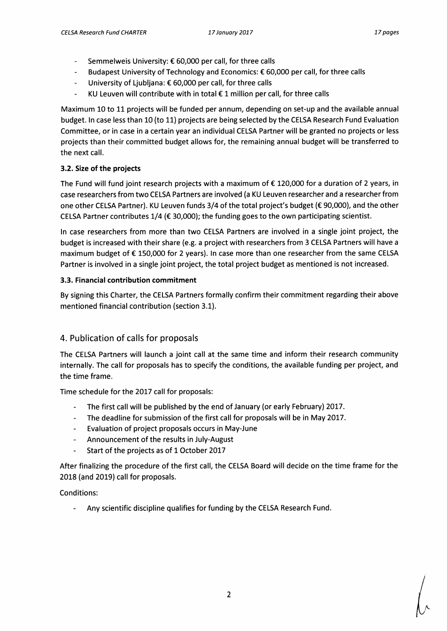- **- Semmelweis University: € 60,000 per call, for three calls**
- **- Budapest University of Technology and Economics: € 60,000 per call, for three calls**
- **- University of Ljubljana: € 60,000 per call, for three calls**
- **KU Leuven will contribute with in total € 1 million per call, for three calls**   $\overline{a}$

**Maximum 10 to 11 projects will be funded per annum, depending on set-up and the available annual budget. In case less than 10 (to 11) projects are being selected by the CELSA Research Fund Evaluation Committee, or in case in a certain year an individual CELSA Partner will be granted no projects or less projects than their committed budget allows for, the remaining annual budget will be transferred to the next call.** 

### **3.2. Size of the projects**

**The Fund will fund joint research projects with a maximum of € 120,000 for a duration of 2 years, in case researchers from two CELSA Partners are involved (a KU Leuven researcher and a researcher from one other CELSA Partner). KU Leuven funds 3/4 of the total project's budget (€ 90,000), and the other CELSA Partner contributes 1/4 (€ 30,000); the funding goes to the own participating scientist.** 

**In case researchers from more than two CELSA Partners are involved in a single joint project, the budget is increased with their share (e.g. a project with researchers from 3 CELSA Partners will have a maximum budget of € 150,000 for 2 years). In case more than one researcher from the same CELSA Partner is involved in a single joint project, the total project budget as mentioned is not increased.** 

#### **3.3. Financial contribution commitment**

**By signing this Charter, the CELSA Partners formally confirm their commitment regarding their above mentioned financial contribution (section 3.1).** 

# **4. Publication of calls for proposals**

**The CELSA Partners will launch a joint call at the same time and inform their research community internally. The call for proposals has to specify the conditions, the available funding per project, and the time frame.** 

**Time schedule for the 2017 call for proposals:** 

- The first call will be published by the end of January (or early February) 2017.
- **- The deadline for submission of the first call for proposals will be in May 2017.**
- **- Evaluation of project proposals occurs in May-June**
- **- Announcement of the results in July-August**
- **- Start of the projects as of 1 October 2017**

**After finalizing the procedure of the first call, the CELSA Board will decide on the time frame for the 2018 (and 2019) call for proposals.** 

### **Conditions:**

**- Any scientific discipline qualifies for funding by the CELSA Research Fund.**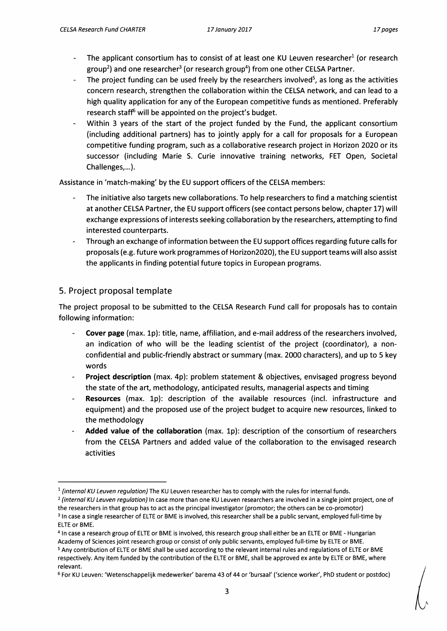- The applicant consortium has to consist of at least one KU Leuven researcher<sup>1</sup> (or research **group2) and one researcher3(or research group4) from one other CELSA Partner.**
- **The project funding can be used freely by the researchers involved 5, as long as the activities concern research, strengthen the collaboration within the CELSA network, and can lead to a high quality application for any of the European competitive funds as mentioned. Preferably**  research staff<sup>6</sup> will be appointed on the project's budget.
- **- Within 3 years of the start of the project funded by the Fund, the applicant consortium (including additional partners) has to jointly apply for a call for proposals for a European competitive funding program, such as a collaborative research project in Horizon 2020 or its successor (including Marie S. Curie innovative training networks, FET Open, Societal Challenges,...).**

Assistance in 'match-making' by the EU support officers of the CELSA members:

- **- The initiative also targets new collaborations. To help researchers to find a matching scientist at another CELSA Partner, the EU support officers (see contact persons below, chapter 17) will exchange expressions of interests seeking collaboration by the researchers, attempting to find interested counterparts.**
- **Through an exchange of information between the EU support offices regarding future calls for proposals (e.g. future work programmes of Horizon2020), the EU support teams will also assist the applicants in finding potential future topics in European programs.**

# **5. Project proposal tempiate**

**The project proposal to be submitted to the CELSA Research Fund call for proposals has to contain following information:** 

- **- Cover page (max. 1p): title, name, affiliation, and e-mail address of the researchers involved, an indication of who will be the leading scientist of the project (coordinator), a nonconfidential and public-friendly abstract or summary (max. 2000 characters), and up to 5 key words**
- **- Project description (max. 4p): problem statement & objectives, envisaged progress beyond the state of the art, methodology, anticipated results, managerial aspects and timing**
- **- Resources (max. 1p): description of the available resources (incl. infrastructure and equipment) and the proposed use of the project budget to acquire new resources, linked to the methodology**
- **Added value of the collaboration (max. 1p): description of the consortium of researchers from the CELSA Partners and added value of the collaboration to the envisaged research activities**

**<sup>1</sup>(intemal KU Leuven regulation) The KU Leuven researcher has to comply with the rules for internal funds.** 

**<sup>2</sup>(internal KU Leuven regulation) In case more than one KU Leuven researchers are involved in a single joint project, one of the researchers in that group has to act as the principal investigator (promotor; the others can be co-promotor) <sup>3</sup>In case a single researcher of ELTE or BME is involved, this researcher shall be a public servant, employed full-time by** 

**ELTE or BME.** 

**<sup>4</sup>In case a research group of ELTE or BME is involved, this research group shall either be an ELTE or BME - Hungarian Academy of Sciences joint research group or consist of only public servants, employed full-time by ELTE or BME.** 

<sup>5</sup>**Any contribution of ELTE or BME shall be used according to the relevant internal rules and regulations of ELTE or BME respectively. Any item funded by the contribution of the ELTE or BME, shall be approved ex ante by ELTE or BME, where relevant.** 

**<sup>6</sup>For KU Leuven: 'Wetenschappelijk medewerker' barema 43 of 44 or 'bursaal' (`science worker', PhD student or postdoc)**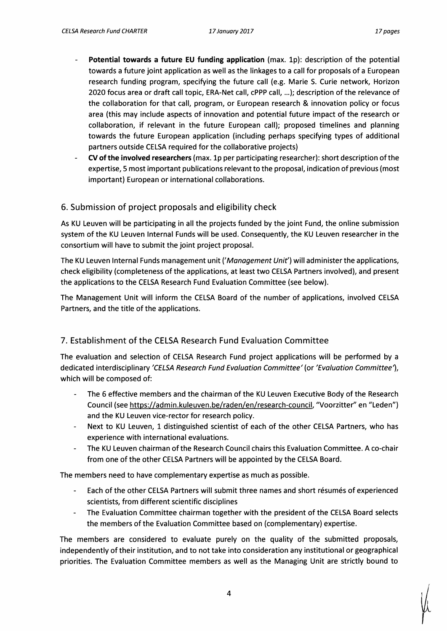- **- Potential towards a future EU funding application (max. 1p): description of the potential towards a future joint application as well as the linkages to a call for proposals of a European research funding program, specifying the future call (e.g. Marie S. Curie network, Horizon 2020 focus area or draft call topic, ERA-Net call, cPPP call, ...); description of the relevance of the collaboration for that call, program, or European research & innovation policy or focus area (this may include aspects of innovation and potential future impact of the research or collaboration, if relevant in the future European call); proposed timelines and planning towards the future European application (including perhaps specifying types of additional partners outside CELSA required for the collaborative projects)**
- **- CV of the involved researchers (max. 1p per participating researcher): short description of the expertise, 5 most important publications relevant to the proposal, indication of previous (most important) European or international collaborations.**

# **6. Submission of project proposals and eligibility check**

**As KU Leuven will be participating in all the projects funded by the joint Fund, the online submission system of the KU Leuven Internal Funds will be used. Consequently, the KU Leuven researcher in the consortium will have to submit the joint project proposal.** 

**The KU Leuven Internal Funds management unit ('Management Unit') will administer the applications, check eligibility (completeness of the applications, at least two CELSA Partners involved), and present the applications to the CELSA Research Fund Evaluation Committee (see below).** 

**The Management Unit will inform the CELSA Board of the number of applications, involved CELSA Partners, and the title of the applications.** 

# **7. Establishment of the CELSA Research Fund Evaluation Committee**

**The evaluation and selection of CELSA Research Fund project applications will be performed by a dedicated interdisciplinary 'CELSA Research Fund Evaluation Committee' (or 'Evaluation Committeel which will be composed of:** 

- **- The 6 effective members and the chairman of the KU Leuven Executive Body of the Research Council (see https://admin.kuleuven.be/raden/en/research-council, "Voorzitter" en "Leden") and the KU Leuven vice-rector for research policy.**
- **Next to KU Leuven, 1 distinguished scientist of each of the other CELSA Partners, who has**   $\overline{\phantom{a}}$ **experience with international evaluations.**
- **- The KU Leuven chairman of the Research Council chairs this Evaluation Committee. A co-chair from one of the other CELSA Partners will be appointed by the CELSA Board.**

**The members need to have complementary expertise as much as possible.** 

- **Each of the other CELSA Partners will submit three names and short résumés of experienced scientists, from different scientific disciplines**
- **- The Evaluation Committee chairman together with the president of the CELSA Board selects the members of the Evaluation Committee based on (complementary) expertise.**

**The members are considered to evaluate purely on the quality of the submitted proposals, independently of their institution, and to not take into consideration any institutional or geographical priorities. The Evaluation Committee members as well as the Managing Unit are strictly bound to**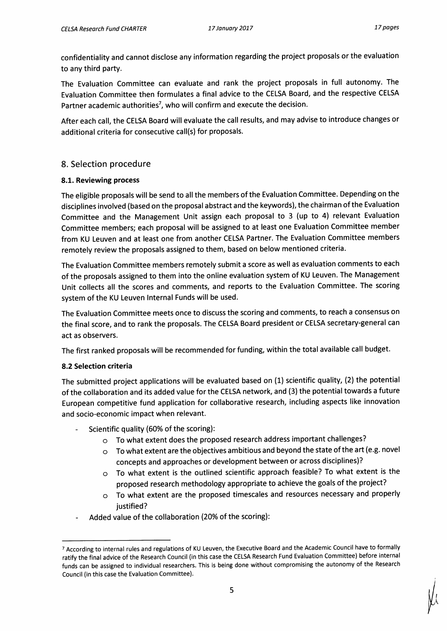**confidentiality and cannot disclose any information regarding the project proposals or the evaluation to any third party.** 

**The Evaluation Committee can evaluate and rank the project proposals in full autonomy. The Evaluation Committee then formulates a final advice to the CELSA Board, and the respective CELSA Partner academic authorities7, who will confirm and execute the decision.** 

**After each call, the CELSA Board will evaluate the call results, and may advise to introduce changes or additional criteria for consecutive call(s) for proposals.** 

# **8. Selection procedure**

#### **8.1. Reviewing process**

**The eligible proposals will be send to all the members of the Evaluation Committee. Depending on the disciplines involved (based on the proposal abstract and the keywords), the chairman of the Evaluation Committee and the Management Unit assign each proposal to 3 (up to 4) relevant Evaluation Committee members; each proposal will be assigned to at least one Evaluation Committee member from KU Leuven and at least one from another CELSA Partner. The Evaluation Committee members remotely review the proposals assigned to them, based on below mentioned criteria.** 

**The Evaluation Committee members remotely submit a score as well as evaluation comments to each of the proposals assigned to them into the online evaluation system of KU Leuven. The Management Unit collects all the scores and comments, and reports to the Evaluation Committee. The scoring system of the KU Leuven Internal Funds will be used.** 

**The Evaluation Committee meets once to discuss the scoring and comments, to reach a consensus on the final score, and to rank the proposals. The CELSA Board president or CELSA secretary-general can act as observers.** 

**The first ranked proposals will be recommended for funding, within the total available call budget.** 

### **8.2 Selection criteria**

**The submitted project applications will be evaluated based on (1) scientific quality, (2) the potential of the collaboration and its added value for the CELSA network, and (3) the potential towards a future European competitive fund application for collaborative research, including aspects like innovation and socio-economic impact when relevant.** 

- **Scientific quality (60% of the scoring):** 
	- **o To what extent does the proposed research address important challenges?**
	- **o To what extent are the objectives ambitious and beyond the state of the art (e.g. novel concepts and approaches or development between or across disciplines)?**
	- **o To what extent is the outlined scientific approach feasible? To what extent is the proposed research methodology appropriate to achieve the goals of the project?**
	- **o To what extent are the proposed timescales and resources necessary and properly justified?**
- **Added value of the collaboration (20% of the scoring):**

<sup>7</sup>**According to internal rules and regulations of KU Leuven, the Executive Board and the Academic Council have to formally ratify the final advice of the Research Council (in this case the CELSA Research Fund Evaluation Committee) before internal funds can be assigned to individual researchers. This is being done without compromising the autonomy of the Research Council (in this case the Evaluation Committee).**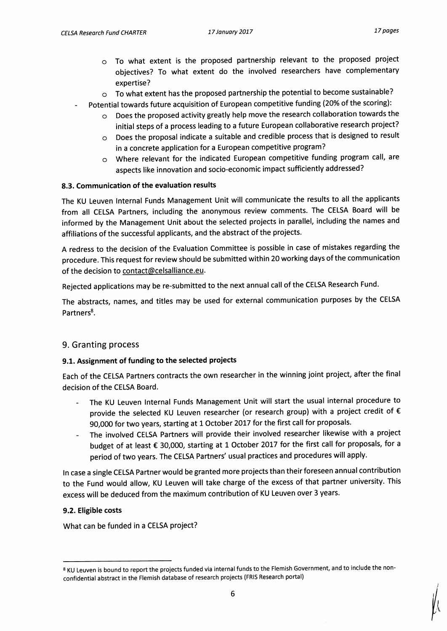- **o To what extent is the proposed partnership relevant to the proposed project objectives? To what extent do the involved researchers have complementary expertise?**
- **o To what extent has the proposed partnership the potential to become sustainable?**
- **Potential towards future acquisition of European competitive funding (20% of the scoring):** 
	- **o Does the proposed activity greatly help move the research collaboration towards the initial steps of a process leading to a future European collaborative research project?**
	- **o Does the proposal indicate a suitable and credible process that is designed to result in a concrete application for a European competitive program?**
	- **o Where relevant for the indicated European competitive funding program call, are aspects like innovation and socio-economic impact sufficiently addressed?**

#### **8.3. Communication of the evaluation results**

**The KU Leuven Internal Funds Management Unit will communicate the results to all the applicants from all CELSA Partners, including the anonymous review comments. The CELSA Board will be informed by the Management Unit about the selected projects in parallel, including the names and affiliations of the successful applicants, and the abstract of the projects.** 

**A redress to the decision of the Evaluation Committee is possible in case of mistakes regarding the procedure. This request for review should be submitted within 20 working days of the communication of the decision to contact@celsalliance.eu .** 

**Rejected applications may be re-submitted to the next annual call of the CELSA Research Fund.** 

**The abstracts, names, and titles may be used for external communication purposes by the CELSA Partners8 .** 

### **9. Granting process**

### **9.1. Assignment of funding to the selected projects**

**Each of the CELSA Partners contracts the own researcher in the winning joint project, after the final decision of the CELSA Board.** 

- **The KU Leuven Internal Funds Management Unit will start the usual internal procedure to provide the selected KU Leuven researcher (or research group) with a project credit of € 90,000 for two years, starting at 1 October 2017 for the first call for proposals.**
- **The involved CELSA Partners will provide their involved researcher likewise with a project budget of at least € 30,000, starting at 1 October 2017 for the first call for proposals, for a period of two years. The CELSA Partners' usual practices and procedures will apply.**

**In case a single CELSA Partner would be granted more projects than their foreseen annual contribution to the Fund would allow, KU Leuven will take charge of the excess of that partner university. This excess will be deduced from the maximum contribution of KU Leuven over 3 years.** 

### **9.2. Eligible costs**

**What can be funded in a CELSA project?** 

**<sup>8</sup> KU Leuven is bound to report the projects funded via internal funds to the Flemish Government, and to include the nonconfidential abstract in the Flemish database of research projects (FRIS Research portal)**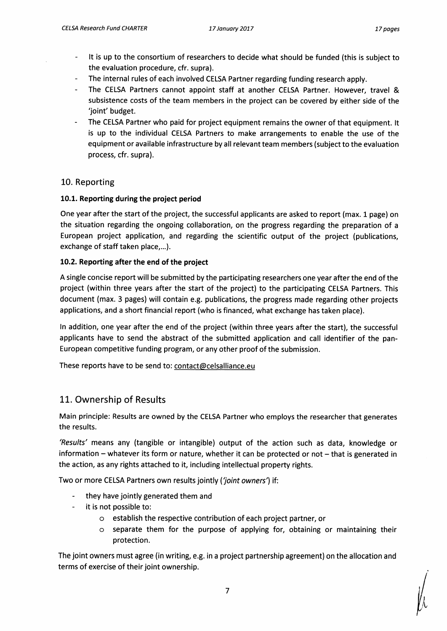- **- It is up to the consortium of researchers to decide what should be funded (this is subject to the evaluation procedure, cfr. supra).**
- **- The internal rules of each involved CELSA Partner regarding funding research apply.**
- **The CELSA Partners cannot appoint staff at another CELSA Partner. However, travel & subsistence costs of the team members in the project can be covered by either side of the `joint' budget.**
- **The CELSA Partner who paid for project equipment remains the owner of that equipment. It is up to the individual CELSA Partners to make arrangements to enable the use of the equipment or available infrastructure by all relevant team members (subject to the evaluation process, cfr. supra).**

### **10. Reporting**

### **10.1. Reporting during the project period**

**One year after the start of the project, the successful applicants are asked to report (max. 1 page) on the situation regarding the ongoing collaboration, on the progress regarding the preparation of a European project application, and regarding the scientific output of the project (publications, exchange of staff taken place,...).** 

#### **10.2. Reporting after the end of the project**

**A single concise report will be submitted by the participating researchers one year after the end of the project (within three years after the start of the project) to the participating CELSA Partners. This document (max. 3 pages) will contain e.g. publications, the progress made regarding other projects applications, and a short financial report (who is financed, what exchange has taken place).** 

**In addition, one year after the end of the project (within three years after the start), the successful applicants have to send the abstract of the submitted application and call identifier of the pan-European competitive funding program, or any other proof of the submission.** 

**These reports have to be send to: contact@celsalliance.eu** 

# **11. Ownership of Results**

**Main principle: Results are owned by the CELSA Partner who employs the researcher that generates the results.** 

**'Results' means any (tangible or intangible) output of the action such as data, knowledge or information — whatever its form or nature, whether it can be protected or not — that is generated in the action, as any rights attached to it, including intellectual property rights.** 

Two or more CELSA Partners own results jointly ('joint owners') if:

- **they have jointly generated them and**
- **- it is not possible to:** 
	- **o establish the respective contribution of each project partner, or**
	- **o separate them for the purpose of applying for, obtaining or maintaining their protection.**

**The joint owners must agree (in writing, e.g. in a project partnership agreement) on the allocation and terms of exercise of their joint ownership.**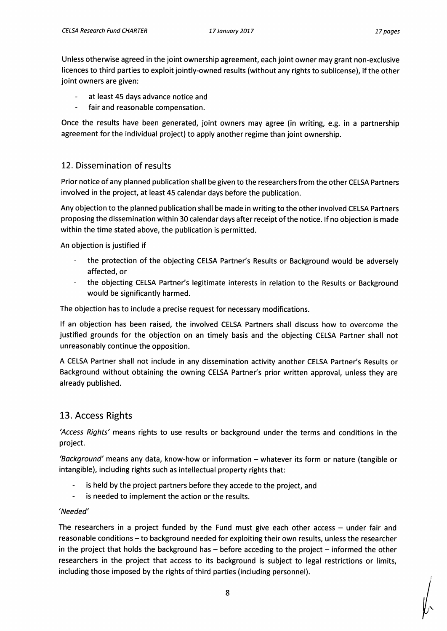**Unless otherwise agreed in the joint ownership agreement, each joint owner may grant non-exclusive licences to third parties to exploit jointly-owned results (without any rights to sublicense), if the other joint owners are given:** 

- **- at least 45 days advance notice and**
- **- fair and reasonable compensation.**

**Once the results have been generated, joint owners may agree (in writing, e.g. in a partnership agreement for the individual project) to apply another regime than joint ownership.** 

### **12. Dissemination of results**

**Prior notice of any planned publication shall be given to the researchers from the other CELSA Partners involved in the project, at least 45 calendar days before the publication.** 

**Any objection to the planned publication shall be made in writing to the other involved CELSA Partners proposing the dissemination within 30 calendar days after receipt of the notice. If no objection is made within the time stated above, the publication is permitted.** 

**An objection is justified if** 

- **- the protection of the objecting CELSA Partner's Results or Background would be adversely affected, or**
- **- the objecting CELSA Partner's legitimate interests in relation to the Results or Background would be significantly harmed.**

**The objection has to include a precise request for necessary modifications.** 

**If an objection has been raised, the involved CELSA Partners shall discuss how to overcome the justified grounds for the objection on an timely basis and the objecting CELSA Partner shall not unreasonably continue the opposition.** 

**A CELSA Partner shall not include in any dissemination activity another CELSA Partner's Results or Background without obtaining the owning CELSA Partner's prior written approval, unless they are already published.** 

# **13. Access Rights**

**'Access Rights' means rights to use results or background under the terms and conditions in the project.** 

**'Background' means any data, know-how or information — whatever its form or nature (tangible or intangible), including rights such as intellectual property rights that:** 

- **- is held by the project partners before they accede to the project, and**
- **- is needed to implement the action or the results.**

#### **'Needed'**

**The researchers in a project funded by the Fund must give each other access — under fair and reasonable conditions—to background needed for exploiting their own results, unless the researcher in the project that holds the background has — before acceding to the project — informed the other researchers in the project that access to its background is subject to legal restrictions or limits, including those imposed by the rights of third parties (including personnel).**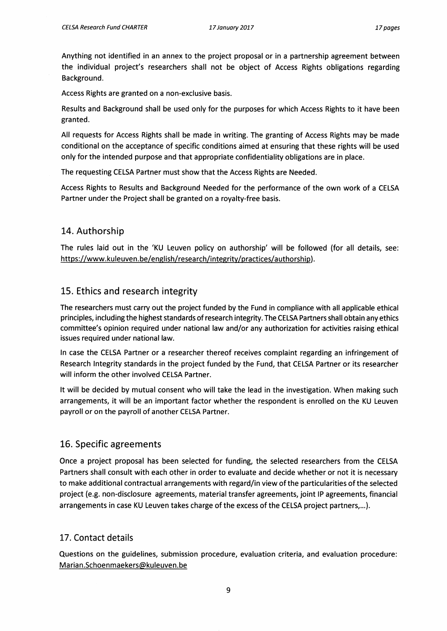**Anything not identified in an annex to the project proposal or in a partnership agreement between the individual project's researchers shall not be object of Access Rights obligations regarding Background.** 

**Access Rights are granted on a non-exclusive basis.** 

**Results and Background shall be used only for the purposes for which Access Rights to it have been granted.** 

**Ali requests for Access Rights shall be made in writing. The granting of Access Rights may be made conditional on the acceptance of specific conditions aimed at ensuring that these rights will be used only for the intended purpose and that appropriate confidentiality obligations are in place.** 

**The requesting CELSA Partner must show that the Access Rights are Needed.** 

**Access Rights to Results and Background Needed for the performance of the own work of a CELSA Partner under the Project shall be granted on a royalty-free basis.** 

#### **14. Authorship**

**The rules laid out in the `KU Leuven policy on authorship' will be followed (for all details, see:**  https://www.kuleuven.be/english/research/integrity/practices/authorship).

### **15. Ethics and research integrity**

**The researchers must carry out the project funded by the Fund in compliance with all applicable ethical principles, including the highest standards of research integrity. The CELSA Partners shall obtain any ethics committee's opinion required under national law and/or any authorization for activities rajsing ethical issues required under national law.** 

**In case the CELSA Partner or a researcher thereof receíves complaint regarding an infringement of Research Integrity standards in the project funded by the Fund, that CELSA Partner or its researcher will inform the other involved CELSA Partner.** 

**It will be decided by mutual consent who will take the lead in the investigation. When making such arrangements, it will be an important factor whether the respondent is enrolled on the KU Leuven payroll or on the payroll of another CELSA Partner.** 

### **16. Specific agreements**

**Once a project proposal has been selected for funding, the selected researchers from the CELSA Partners shall consult with each other in order to evaluate and decide whether or not it is necessary to make additional contractual arrangements with regard/in view of the particularities of the selected project (e.g. non-disclosure agreements, material transfer agreements, joint IP agreements, financial arrangements in case KU Leuven takes charge of the excess of the CELSA project partners,...).** 

### **17. Contact details**

**Questions on the guidelines, submission procedure, evaluation criteria, and evaluation procedure: Marian.Schoenmaekers@kuleuven.be**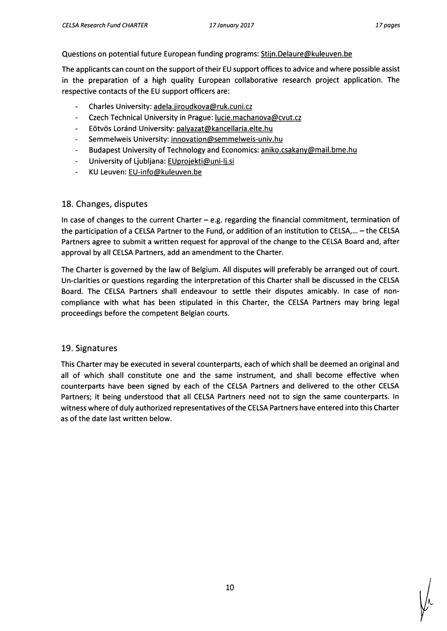#### **Questions on potential future European funding programs: Stijn.Delaure@kuleuven.be**

**The applicants can count on the support of their EU support offices to advice and where possible assist in the preparation of a high quality European collaborative research project application. The respective contacts of the EU support officers are:** 

- **- Charles University: adela.jiroudkova@ruk.cuni.cz**
- **- Czech Technical University in Prague: lucie.machanova@cvut.cz**
- **- Eötvös Loránd University: palyazat@kancellaria.elte.hu**
- **- Semmelweis University: innovation@semmelweis-univ.hu**
- **- Budapest University of Technology and Economics: aniko.csakany@mail.bme.hu**
- **- University of Ljubljana: EUproiekti@uni-li.si**
- **- KU Leuven: EU-info@kuleuven.be**

#### **18. Changes, disputes**

**In case of changes to the current Charter — e.g. regarding the financial commitment, termination of the participation of a CELSA Partner to the Fund, or addition of an institution to CELSA,... — the CELSA Partners agree to submit a written request for approval of the change to the CELSA Board and, after approval by all CELSA Partners, add an amendment to the Charter.** 

**The Charter is governed by the law of Belgium. All disputes will preferably be arranged out of court. Un-clarities or questions regarding the interpretation of this Charter shall be discussed in the CELSA Board. The CELSA Partners shall endeavour to settle their disputes amicably. In case of noncompliance with what has been stipulated in this Charter, the CELSA Partners may bring legal proceedings before the competent Belgian courts.** 

#### **19. Signatures**

**This Charter may be executed in several counterparts, each of which shall be deemed an original and all of which shall constitute one and the same instrument, and shall become effective when counterparts have been signed by each of the CELSA Partners and delivered to the other CELSA Partners; it being understood that all CELSA Partners need not to sign the same counterparts. In witness where of duly authorized representatives of the CELSA Partners have entered into this Charter as of the date last written below.**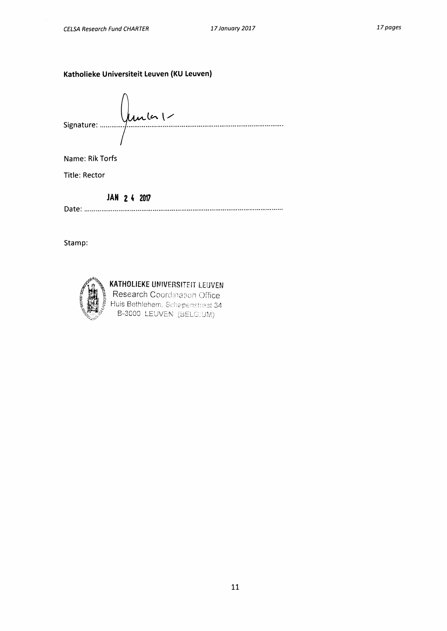#### **Katholieke Universiteit Leuven (KU Leuven)**

Signature : manument de la les les les leurs de la leur de la leur de la leur de la leur de la leur de la leu

Name: Rik Torfs

Title: Rector

**AH 2 4 2017** 

Date:

Stamp:



# KATHOLIEKE UNIVERSITEIT LEUVEN

Research Coordination Office Huis Bethlehem, Schapenstraat 34. B-3000 LEUVEN (BELG)UM)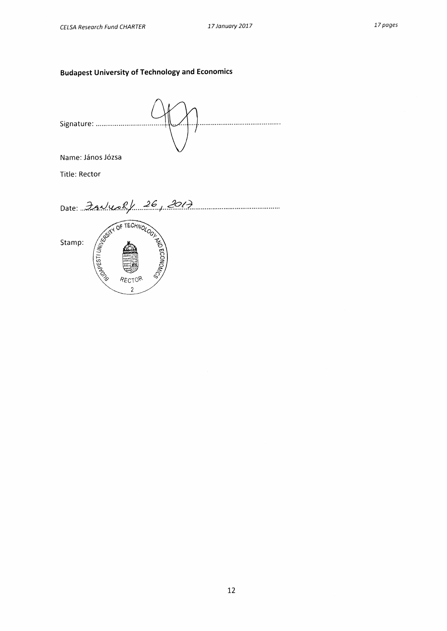# **Budapest University of Technology and Economics**

Signature: ............................. Name: János Józsa Title: Rector Date: 3 A. King 26, 2017 Stamp: RECTOP  $\overline{2}$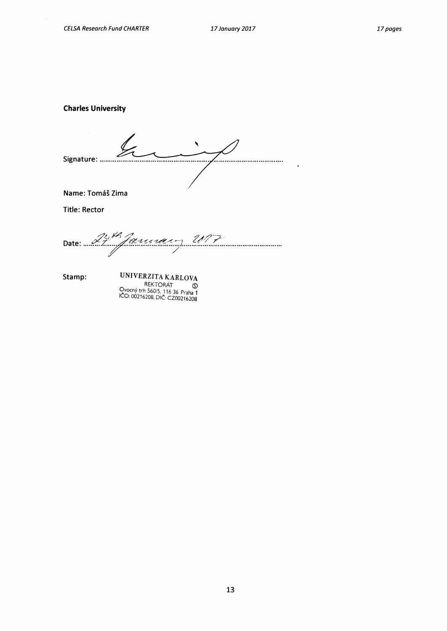$\bar{\lambda}$ 

**Charles University** 

Signature: ........ ..... • • • • • • • • • • • • •

**Name: Tomáš Zima** 

**Title: Rector** 

 $\mathcal{U}$ 4, January 117 **Date:** 

**Stamp:** 

UNIVERZITA KARLOVA REKTORÁT Ovocny trh 560/5, 116 36 Praha 1<br>IČO: 00216208, DIČ: CZ00216208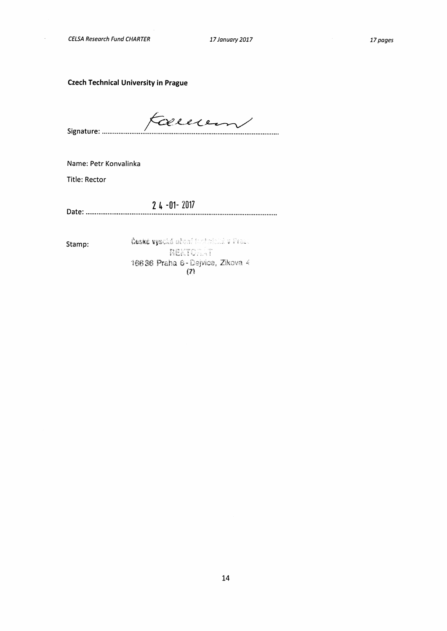$\hat{\mathcal{A}}$ 

**Czech Technical University in Prague** 

Cem **Signature .** 

**Name: Petr Konvalinka** 

**Title: Rector** 

**2 4 -01- 2017 Date .** 

**Stamp:** 

České vysoká učení tootniché v Fraz. **NEKTORAT** 16636 Praha 6 - Dejvice, Zikova 4 (7)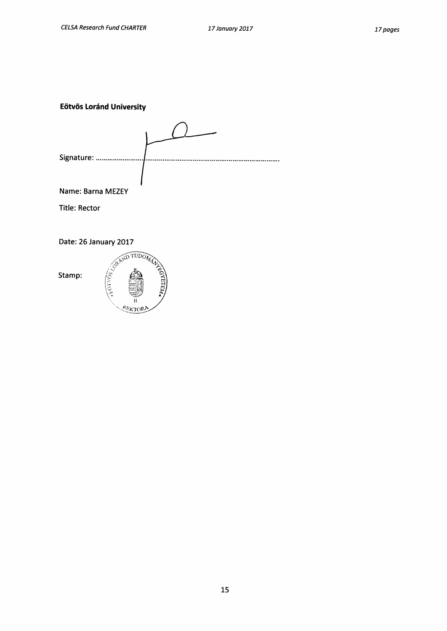**Eötvös Loránd University** 

| Signature:        |  |
|-------------------|--|
|                   |  |
|                   |  |
|                   |  |
| Name: Barna MEZEY |  |

**Title: Rector** 

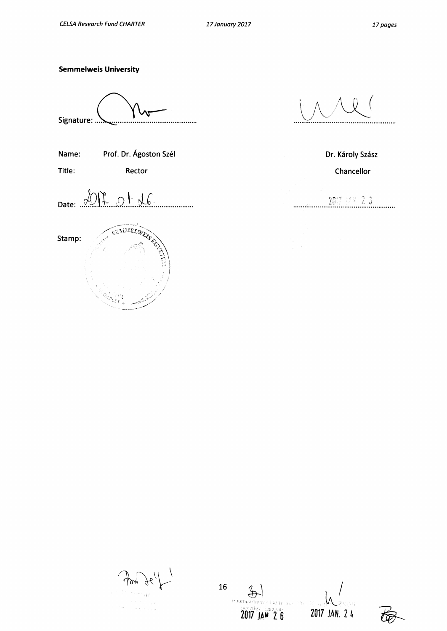#### **Semmelweis University**

**Signature:** 

**Name:** Prof. Dr. Ágoston Szél **Dr. Károly Szász** Dr. Károly Szász

Date: 2017 01 26 . . . . . . . . .

SUMMELWEAT CO **Stamp:** 

Title: Rector Rector Rector **Chancellor** Chancellor

2017 P.V. 2.3 . . . . . . . .

**16**  Helle ae **2017 JSki 2 6 2017 JAN. 2 4**